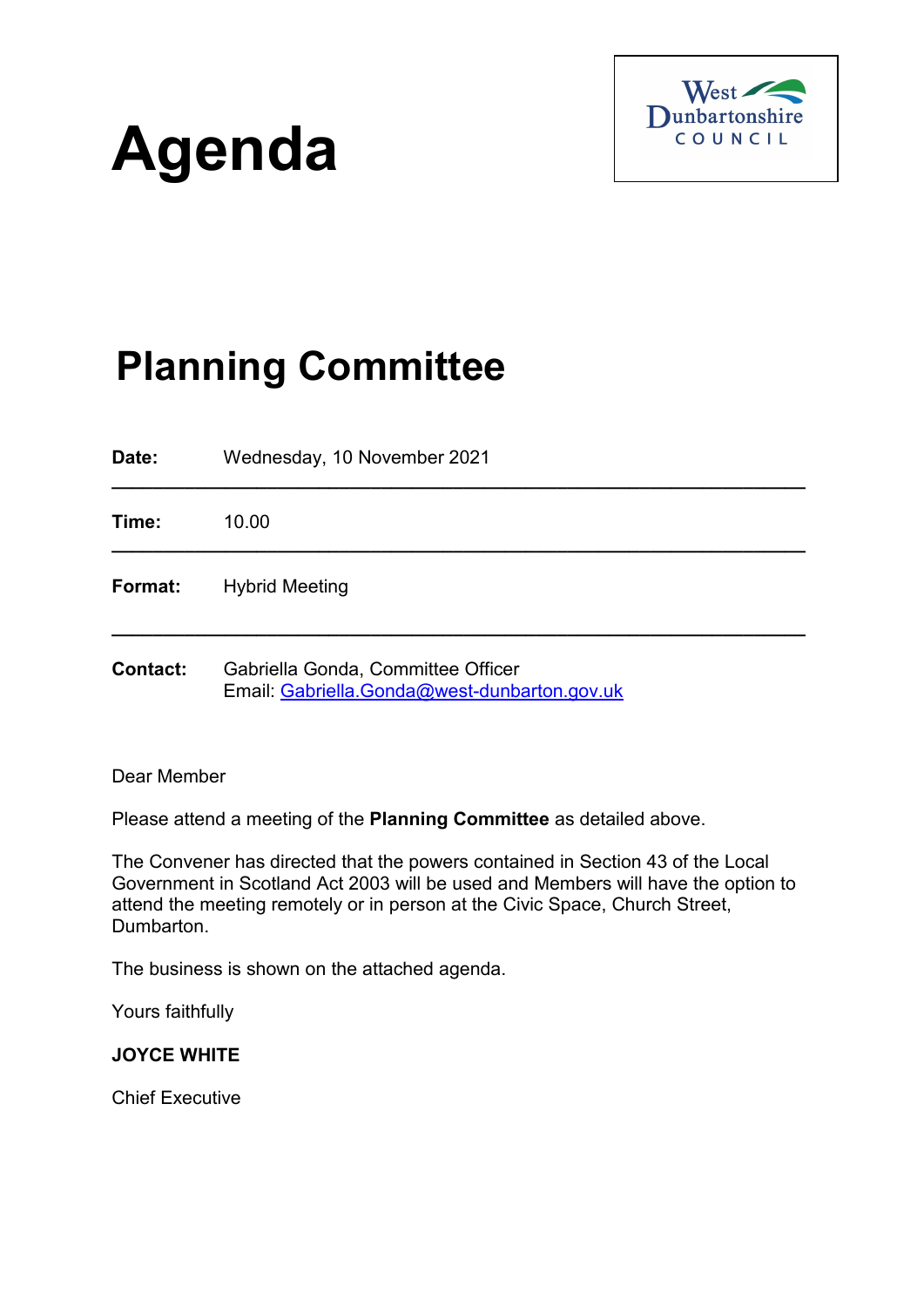# **Agenda**



## **Planning Committee**

**Date:** Wednesday, 10 November 2021 **\_\_\_\_\_\_\_\_\_\_\_\_\_\_\_\_\_\_\_\_\_\_\_\_\_\_\_\_\_\_\_\_\_\_\_\_\_\_\_\_\_\_\_\_\_\_\_\_\_\_\_\_\_\_\_\_\_\_\_\_\_\_\_\_\_\_\_ Time:** 10.00 **\_\_\_\_\_\_\_\_\_\_\_\_\_\_\_\_\_\_\_\_\_\_\_\_\_\_\_\_\_\_\_\_\_\_\_\_\_\_\_\_\_\_\_\_\_\_\_\_\_\_\_\_\_\_\_\_\_\_\_\_\_\_\_\_\_\_\_ Format:** Hybrid Meeting **\_\_\_\_\_\_\_\_\_\_\_\_\_\_\_\_\_\_\_\_\_\_\_\_\_\_\_\_\_\_\_\_\_\_\_\_\_\_\_\_\_\_\_\_\_\_\_\_\_\_\_\_\_\_\_\_\_\_\_\_\_\_\_\_\_\_\_ Contact:** Gabriella Gonda, Committee Officer Email: [Gabriella.Gonda@west-dunbarton.gov.uk](mailto:Gabriella.Gonda@west-dunbarton.gov.uk)

Dear Member

Please attend a meeting of the **Planning Committee** as detailed above.

The Convener has directed that the powers contained in Section 43 of the Local Government in Scotland Act 2003 will be used and Members will have the option to attend the meeting remotely or in person at the Civic Space, Church Street, Dumbarton.

The business is shown on the attached agenda.

Yours faithfully

#### **JOYCE WHITE**

Chief Executive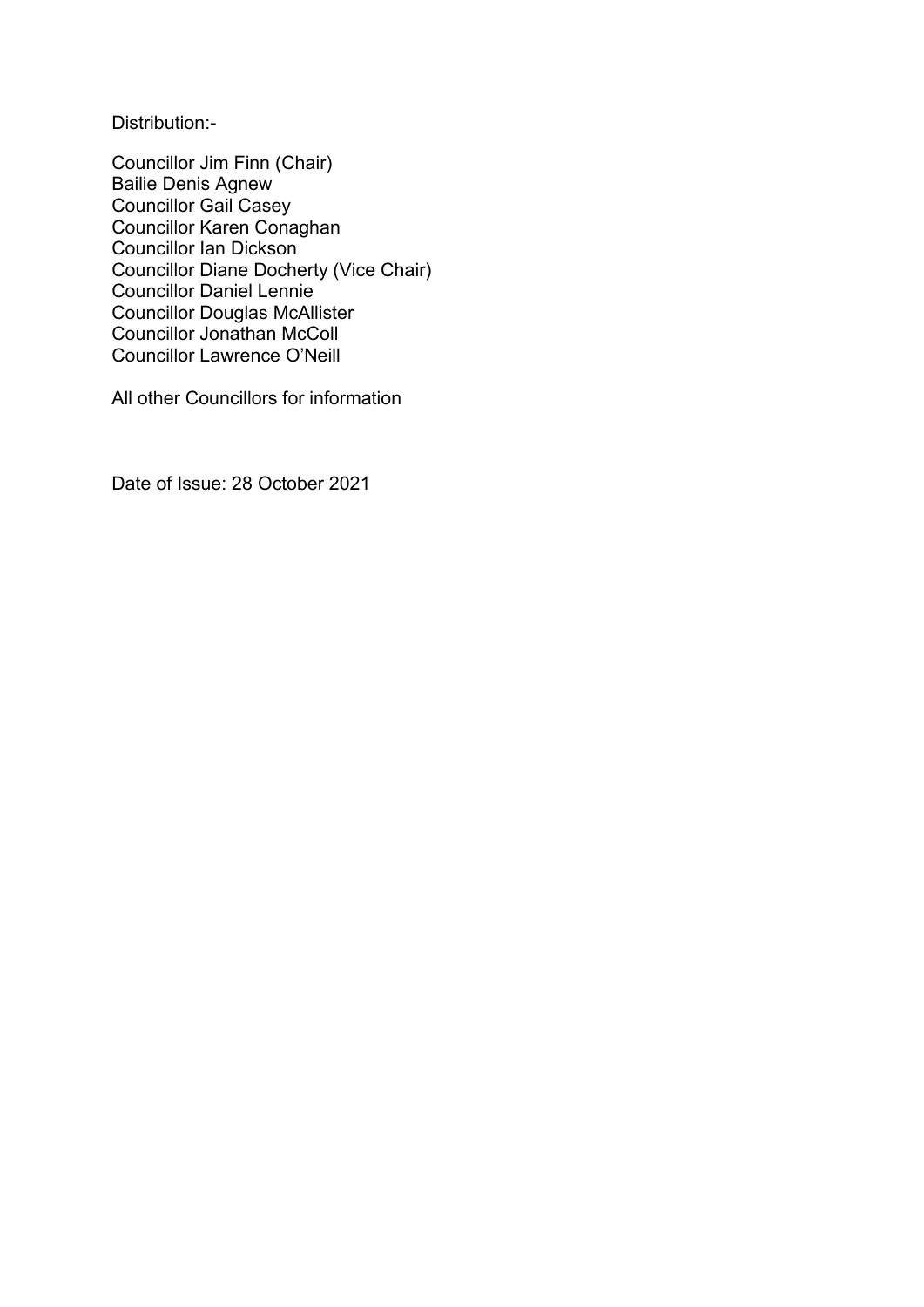Distribution:-

Councillor Jim Finn (Chair) Bailie Denis Agnew Councillor Gail Casey Councillor Karen Conaghan Councillor Ian Dickson Councillor Diane Docherty (Vice Chair) Councillor Daniel Lennie Councillor Douglas McAllister Councillor Jonathan McColl Councillor Lawrence O'Neill

All other Councillors for information

Date of Issue: 28 October 2021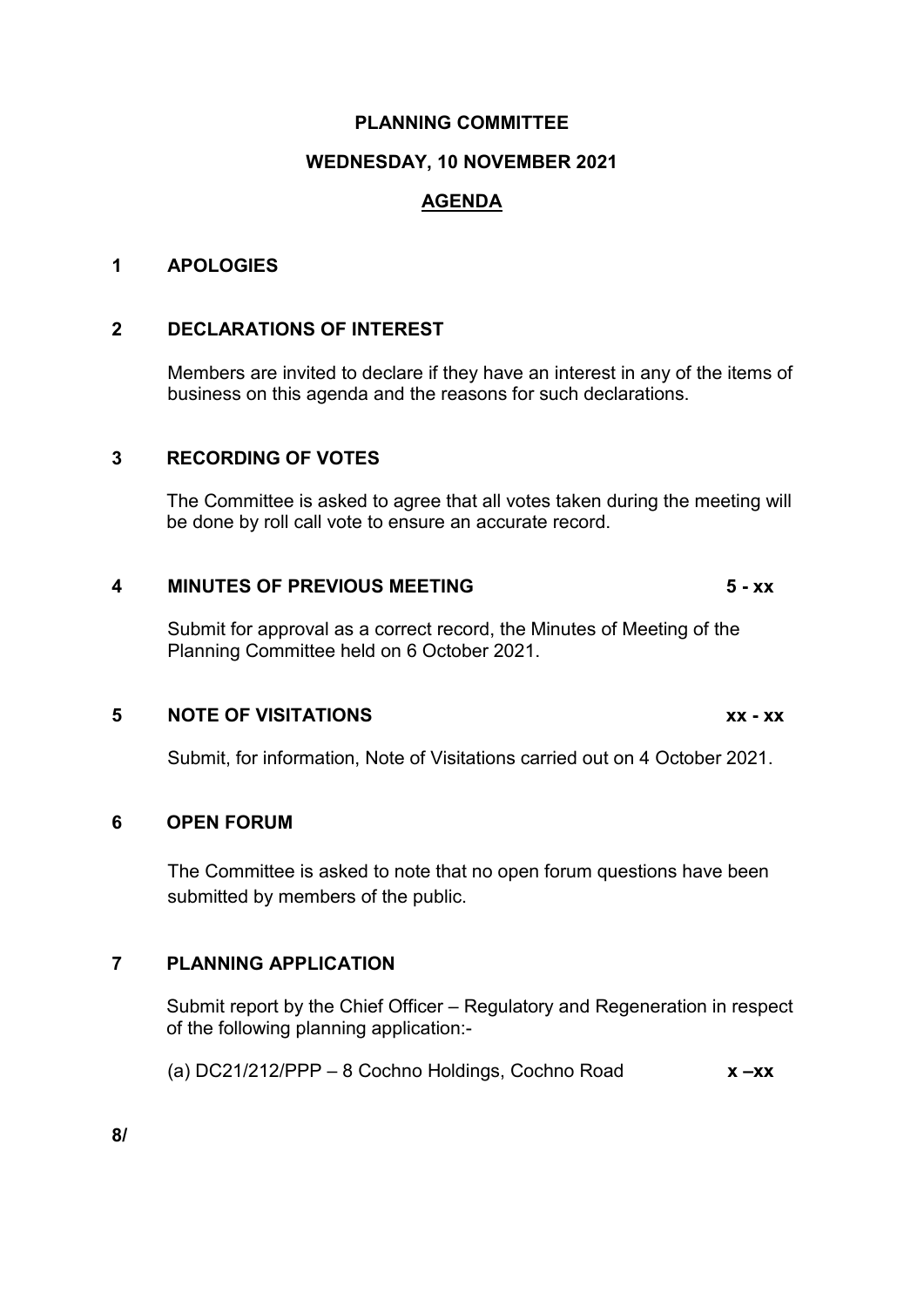#### **PLANNING COMMITTEE**

#### **WEDNESDAY, 10 NOVEMBER 2021**

### **AGENDA**

#### **1 APOLOGIES**

#### **2 DECLARATIONS OF INTEREST**

Members are invited to declare if they have an interest in any of the items of business on this agenda and the reasons for such declarations.

#### **3 RECORDING OF VOTES**

The Committee is asked to agree that all votes taken during the meeting will be done by roll call vote to ensure an accurate record.

#### **4 MINUTES OF PREVIOUS MEETING 5 - xx**

Submit for approval as a correct record, the Minutes of Meeting of the Planning Committee held on 6 October 2021.

#### **5 NOTE OF VISITATIONS xx - xx**

Submit, for information, Note of Visitations carried out on 4 October 2021.

#### **6 OPEN FORUM**

The Committee is asked to note that no open forum questions have been submitted by members of the public.

#### **7 PLANNING APPLICATION**

Submit report by the Chief Officer – Regulatory and Regeneration in respect of the following planning application:-

(a) DC21/212/PPP – 8 Cochno Holdings, Cochno Road **x –xx**